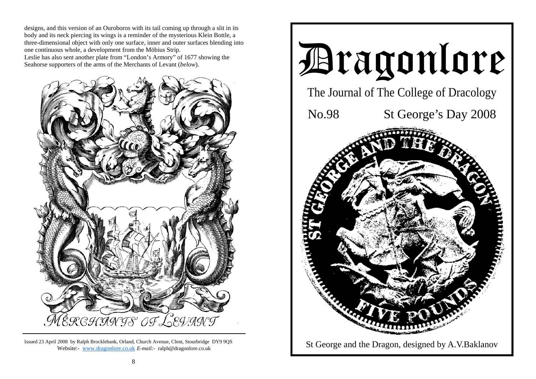designs, and this version of an Ouroboros with its tail coming up through a slit in its body and its neck piercing its wings is a reminder of the mysterious Klein Bottle, a three-dimensional object with only one surface, inner and outer surfaces blending into one continuous whole, a development from the Möbius Strip. Leslie has also sent another plate from "London's Armory" of 1677 showing the

Seahorse supporters of the arms of the Merchants of Levant (*below*).



Issued 23 April 2008 by Ralph Brocklebank, Orland, Church Avenue, Clent, Stourbridge DY9 9QS Website:- www.dragonlore.co.uk *E-mail:-* ralph@dragonlore.co.uk

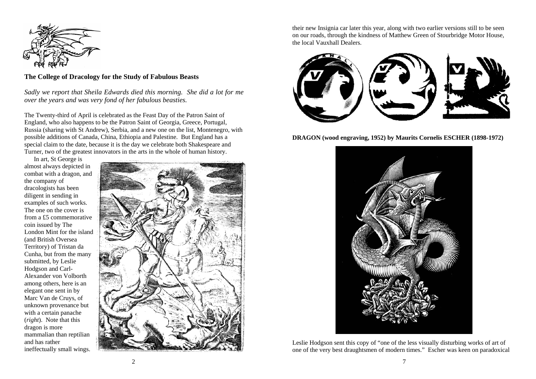

#### **The College of Dracology for the Study of Fabulous Beasts**

*Sadly we report that Sheila Edwards died this morning. She did a lot for me over the years and was very fond of her fabulous beasties.* 

The Twenty-third of April is celebrated as the Feast Day of the Patron Saint of England, who also happens to be the Patron Saint of Georgia, Greece, Portugal, Russia (sharing with St Andrew), Serbia, and a new one on the list, Montenegro, with possible additions of Canada, China, Ethiopia and Palestine. But England has a special claim to the date, because it is the day we celebrate both Shakespeare and Turner, two of the greatest innovators in the arts in the whole of human history.

 In art, St George is almost always depicted in combat with a dragon, and the company of dracologists has been diligent in sending in examples of such works. The one on the cover is from a £5 commemorative coin issued by The London Mint for the island (and British Oversea Territory) of Tristan da Cunha, but from the many submitted, by Leslie Hodgson and Carl-Alexander von Volborth among others, here is an elegant one sent in by Marc Van de Cruys, of unknown provenance but with a certain panache (*right*). Note that this dragon is more mammalian than reptilian and has rather ineffectually small wings.



their new Insignia car later this year, along with two earlier versions still to be seen on our roads, through the kindness of Matthew Green of Stourbridge Motor House, the local Vauxhall Dealers.



**DRAGON (wood engraving, 1952) by Maurits Cornelis ESCHER (1898-1972)** 



Leslie Hodgson sent this copy of "one of the less visually disturbing works of art of one of the very best draughtsmen of modern times." Escher was keen on paradoxical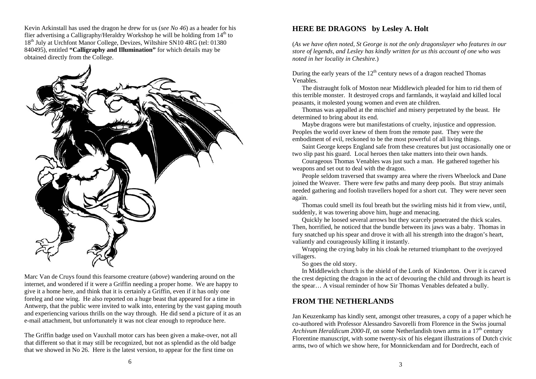Kevin Arkinstall has used the dragon he drew for us (*see No 46*) as a header for his flier advertising a Calligraphy/Heraldry Workshop he will be holding from  $14<sup>th</sup>$  to 18<sup>th</sup> July at Urchfont Manor College, Devizes, Wiltshire SN10 4RG (tel: 01380) 840495), entitled **"Calligraphy and Illumination"** for which details may be obtained directly from the College.



Marc Van de Cruys found this fearsome creature (*above*) wandering around on the internet, and wondered if it were a Griffin needing a proper home. We are happy to give it a home here, and think that it is certainly a Griffin, even if it has only one foreleg and one wing. He also reported on a huge beast that appeared for a time in Antwerp, that the public were invited to walk into, entering by the vast gaping mouth and experiencing various thrills on the way through. He did send a picture of it as an e-mail attachment, but unfortunately it was not clear enough to reproduce here.

The Griffin badge used on Vauxhall motor cars has been given a make-over, not all that different so that it may still be recognized, but not as splendid as the old badge that we showed in No 26. Here is the latest version, to appear for the first time on

# **HERE BE DRAGONS by Lesley A. Holt**

(*As we have often noted, St George is not the only dragonslayer who features in our store of legends, and Lesley has kindly written for us this account of one who was noted in her locality in Cheshire.*)

During the early years of the  $12<sup>th</sup>$  century news of a dragon reached Thomas Venables.

 The distraught folk of Moston near Middlewich pleaded for him to rid them of this terrible monster. It destroyed crops and farmlands, it waylaid and killed local peasants, it molested young women and even ate children.

 Thomas was appalled at the mischief and misery perpetrated by the beast. He determined to bring about its end.

 Maybe dragons were but manifestations of cruelty, injustice and oppression. Peoples the world over knew of them from the remote past. They were the embodiment of evil, reckoned to be the most powerful of all living things.

 Saint George keeps England safe from these creatures but just occasionally one or two slip past his guard. Local heroes then take matters into their own hands.

 Courageous Thomas Venables was just such a man. He gathered together his weapons and set out to deal with the dragon.

 People seldom traversed that swampy area where the rivers Wheelock and Dane joined the Weaver. There were few paths and many deep pools. But stray animals needed gathering and foolish travellers hoped for a short cut. They were never seen again.

 Thomas could smell its foul breath but the swirling mists hid it from view, until, suddenly, it was towering above him, huge and menacing.

 Quickly he loosed several arrows but they scarcely penetrated the thick scales. Then, horrified, he noticed that the bundle between its jaws was a baby. Thomas in fury snatched up his spear and drove it with all his strength into the dragon's heart, valiantly and courageously killing it instantly.

 Wrapping the crying baby in his cloak he returned triumphant to the overjoyed villagers.

So goes the old story.

 In Middlewich church is the shield of the Lords of Kinderton. Over it is carved the crest depicting the dragon in the act of devouring the child and through its heart is the spear… A visual reminder of how Sir Thomas Venables defeated a bully.

## **FROM THE NETHERLANDS**

Jan Keuzenkamp has kindly sent, amongst other treasures, a copy of a paper which he co-authored with Professor Alessandro Savorelli from Florence in the Swiss journal *Archivum Heraldicum 2000-II,* on some Netherlandish town arms in a 17<sup>th</sup> century Florentine manuscript, with some twenty-six of his elegant illustrations of Dutch civic arms, two of which we show here, for Monnickendam and for Dordrecht, each of